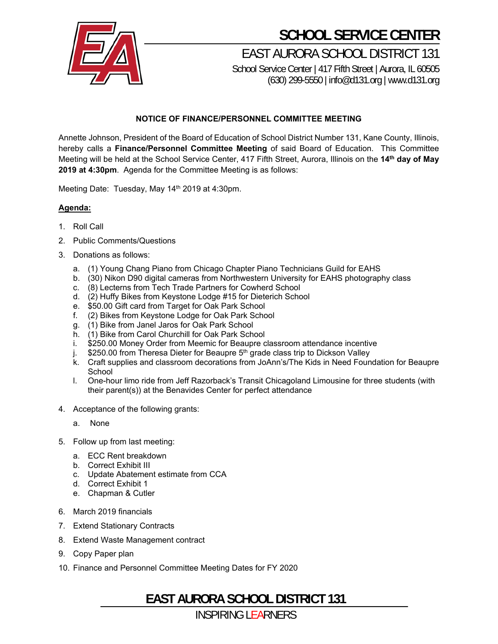

## **SCHOOL SERVICE CENTER**

EAST AURORA SCHOOL DISTRICT 131 School Service Center | 417 Fifth Street | Aurora, IL 60505

(630) 299-5550 | info@d131.org | www.d131.org

#### **NOTICE OF FINANCE/PERSONNEL COMMITTEE MEETING**

Annette Johnson, President of the Board of Education of School District Number 131, Kane County, Illinois, hereby calls a **Finance/Personnel Committee Meeting** of said Board of Education. This Committee Meeting will be held at the School Service Center, 417 Fifth Street, Aurora, Illinois on the **14th day of May 2019 at 4:30pm**. Agenda for the Committee Meeting is as follows:

Meeting Date: Tuesday, May 14<sup>th</sup> 2019 at 4:30pm.

#### **Agenda:**

- 1. Roll Call
- 2. Public Comments/Questions
- 3. Donations as follows:
	- a. (1) Young Chang Piano from Chicago Chapter Piano Technicians Guild for EAHS
	- b. (30) Nikon D90 digital cameras from Northwestern University for EAHS photography class
	- c. (8) Lecterns from Tech Trade Partners for Cowherd School
	- d. (2) Huffy Bikes from Keystone Lodge #15 for Dieterich School
	- e. \$50.00 Gift card from Target for Oak Park School
	- f. (2) Bikes from Keystone Lodge for Oak Park School
	- g. (1) Bike from Janel Jaros for Oak Park School
	- h. (1) Bike from Carol Churchill for Oak Park School
	- i. \$250.00 Money Order from Meemic for Beaupre classroom attendance incentive
	- j. \$250.00 from Theresa Dieter for Beaupre 5<sup>th</sup> grade class trip to Dickson Valley
	- k. Craft supplies and classroom decorations from JoAnn's/The Kids in Need Foundation for Beaupre **School**
	- l. One-hour limo ride from Jeff Razorback's Transit Chicagoland Limousine for three students (with their parent(s)) at the Benavides Center for perfect attendance
- 4. Acceptance of the following grants:
	- a. None
- 5. Follow up from last meeting:
	- a. ECC Rent breakdown
	- b. Correct Exhibit III
	- c. Update Abatement estimate from CCA
	- d. Correct Exhibit 1
	- e. Chapman & Cutler
- 6. March 2019 financials
- 7. Extend Stationary Contracts
- 8. Extend Waste Management contract
- 9. Copy Paper plan
- 10. Finance and Personnel Committee Meeting Dates for FY 2020

**EAST AURORA SCHOOL DISTRICT 131**